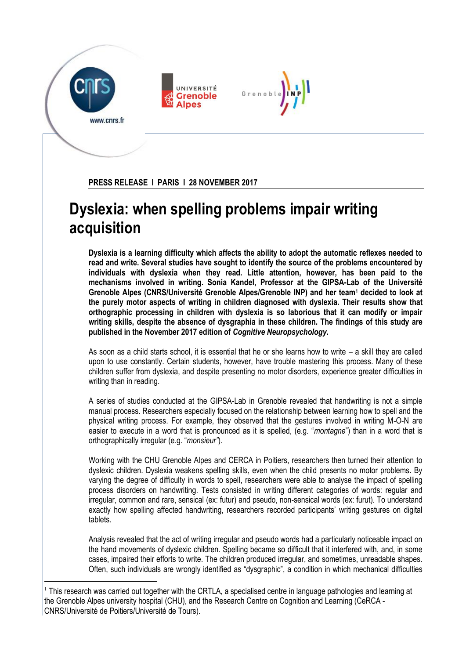

1



Grenobl

**PRESS RELEASE I PARIS I 28 NOVEMBER 2017**

## **Dyslexia: when spelling problems impair writing acquisition**

**Dyslexia is a learning difficulty which affects the ability to adopt the automatic reflexes needed to read and write. Several studies have sought to identify the source of the problems encountered by individuals with dyslexia when they read. Little attention, however, has been paid to the mechanisms involved in writing. Sonia Kandel, Professor at the GIPSA-Lab of the Université Grenoble Alpes (CNRS/Université Grenoble Alpes/Grenoble INP) and her team<sup>1</sup> decided to look at the purely motor aspects of writing in children diagnosed with dyslexia. Their results show that orthographic processing in children with dyslexia is so laborious that it can modify or impair writing skills, despite the absence of dysgraphia in these children. The findings of this study are published in the November 2017 edition of** *Cognitive Neuropsychology***.**

As soon as a child starts school, it is essential that he or she learns how to write – a skill they are called upon to use constantly. Certain students, however, have trouble mastering this process. Many of these children suffer from dyslexia, and despite presenting no motor disorders, experience greater difficulties in writing than in reading.

A series of studies conducted at the GIPSA-Lab in Grenoble revealed that handwriting is not a simple manual process. Researchers especially focused on the relationship between learning how to spell and the physical writing process. For example, they observed that the gestures involved in writing M-O-N are easier to execute in a word that is pronounced as it is spelled, (e.g. "*montagne*") than in a word that is orthographically irregular (e.g. "*monsieur"*).

Working with the CHU Grenoble Alpes and CERCA in Poitiers, researchers then turned their attention to dyslexic children. Dyslexia weakens spelling skills, even when the child presents no motor problems. By varying the degree of difficulty in words to spell, researchers were able to analyse the impact of spelling process disorders on handwriting. Tests consisted in writing different categories of words: regular and irregular, common and rare, sensical (ex: futur) and pseudo, non-sensical words (ex: furut). To understand exactly how spelling affected handwriting, researchers recorded participants' writing gestures on digital tablets.

Analysis revealed that the act of writing irregular and pseudo words had a particularly noticeable impact on the hand movements of dyslexic children. Spelling became so difficult that it interfered with, and, in some cases, impaired their efforts to write. The children produced irregular, and sometimes, unreadable shapes. Often, such individuals are wrongly identified as "dysgraphic", a condition in which mechanical difficulties

<sup>&</sup>lt;sup>1</sup> This research was carried out together with the CRTLA, a specialised centre in language pathologies and learning at the Grenoble Alpes university hospital (CHU), and the Research Centre on Cognition and Learning (CeRCA - CNRS/Université de Poitiers/Université de Tours).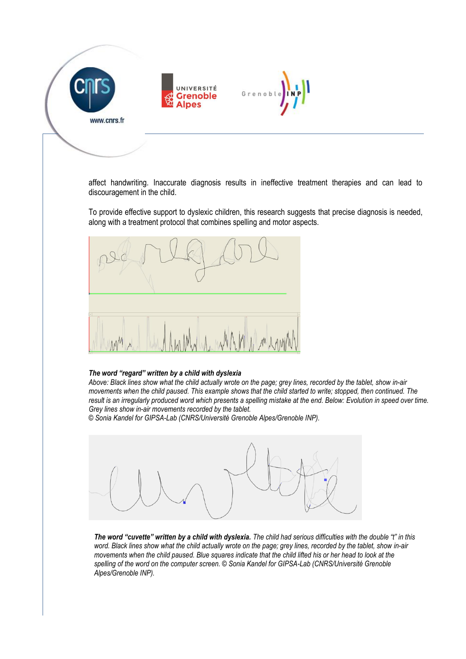



Grenob

affect handwriting. Inaccurate diagnosis results in ineffective treatment therapies and can lead to discouragement in the child.

To provide effective support to dyslexic children, this research suggests that precise diagnosis is needed, along with a treatment protocol that combines spelling and motor aspects.



## *The word "regard" written by a child with dyslexia*

*Above: Black lines show what the child actually wrote on the page; grey lines, recorded by the tablet, show in-air movements when the child paused. This example shows that the child started to write; stopped, then continued. The result is an irregularly produced word which presents a spelling mistake at the end. Below: Evolution in speed over time. Grey lines show in-air movements recorded by the tablet.*

*© Sonia Kandel for GIPSA-Lab (CNRS/Université Grenoble Alpes/Grenoble INP).*



*The word "cuvette" written by a child with dyslexia. The child had serious difficulties with the double "t" in this word. Black lines show what the child actually wrote on the page; grey lines, recorded by the tablet, show in-air movements when the child paused. Blue squares indicate that the child lifted his or her head to look at the spelling of the word on the computer screen. © Sonia Kandel for GIPSA-Lab (CNRS/Université Grenoble Alpes/Grenoble INP).*